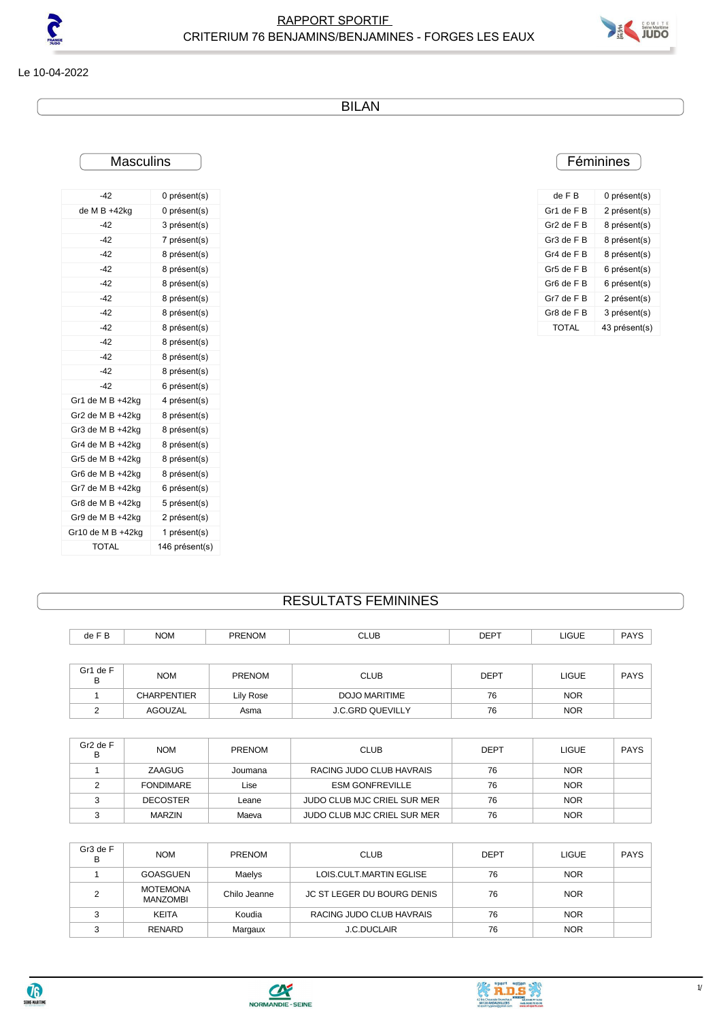



Le 10-04-2022

BILAN

## **Masculins**

| ı           |  |
|-------------|--|
| ı<br>r<br>ı |  |
|             |  |

| de F B     | 0 présent(s)  |
|------------|---------------|
| Gr1 de F B | 2 présent(s)  |
| Gr2 de F B | 8 présent(s)  |
| Gr3 de F B | 8 présent(s)  |
| Gr4 de F B | 8 présent(s)  |
| Gr5 de F B | 6 présent(s)  |
| Gr6 de FB  | 6 présent(s)  |
| Gr7 de F B | 2 présent(s)  |
| Gr8 de FB  | 3 présent(s)  |
| TOTAL      | 43 présent(s) |
|            |               |

| $-42$               | 0 présent(s)   |
|---------------------|----------------|
| de M B +42kg        | 0 présent(s)   |
| $-42$               | 3 présent(s)   |
| $-42$               | 7 présent(s)   |
| $-42$               | 8 présent(s)   |
| $-42$               | 8 présent(s)   |
| $-42$               | 8 présent(s)   |
| $-42$               | 8 présent(s)   |
| $-42$               | 8 présent(s)   |
| $-42$               | 8 présent(s)   |
| $-42$               | 8 présent(s)   |
| $-42$               | 8 présent(s)   |
| $-42$               | 8 présent(s)   |
| $-42$               | 6 présent(s)   |
| Gr1 de M B +42kg    | 4 présent(s)   |
| Gr2 de M B $+42$ kg | 8 présent(s)   |
| Gr3 de M B +42ka    | 8 présent(s)   |
| Gr4 de M B +42ka    | 8 présent(s)   |
| Gr5 de M B +42kg    | 8 présent(s)   |
| Gr6 de M B +42kg    | 8 présent(s)   |
| Gr7 de M B +42ka    | 6 présent(s)   |
| Gr8 de M B +42ka    | 5 présent(s)   |
| Gr9 de M B +42kg    | 2 présent(s)   |
| Gr10 de M B +42kg   | 1 présent(s)   |
| <b>TOTAL</b>        | 146 présent(s) |

## RESULTATS FEMININES

| de F B        | <b>NOM</b>         | <b>PRENOM</b> | <b>CLUB</b>             | <b>DEPT</b> | LIGUE        | <b>PAYS</b> |
|---------------|--------------------|---------------|-------------------------|-------------|--------------|-------------|
|               |                    |               |                         |             |              |             |
| Gr1 de F<br>в | <b>NOM</b>         | <b>PRENOM</b> | <b>CLUB</b>             | <b>DEPT</b> | <b>LIGUE</b> | <b>PAYS</b> |
|               | <b>CHARPENTIER</b> | Lily Rose     | DOJO MARITIME           | 76          | <b>NOR</b>   |             |
| ົ             | AGOUZAL            | Asma          | <b>J.C.GRD QUEVILLY</b> | 76          | <b>NOR</b>   |             |

| Gr <sub>2</sub> de F<br>в | <b>NOM</b>       | PRENOM  | <b>CLUB</b>                 | <b>DEPT</b> | LIGUE      | <b>PAYS</b> |
|---------------------------|------------------|---------|-----------------------------|-------------|------------|-------------|
|                           | ZAAGUG           | Joumana | RACING JUDO CLUB HAVRAIS    | 76          | <b>NOR</b> |             |
|                           | <b>FONDIMARE</b> | Lise    | <b>ESM GONFREVILLE</b>      | 76          | <b>NOR</b> |             |
|                           | <b>DECOSTER</b>  | Leane   | JUDO CLUB MJC CRIEL SUR MER | 76          | <b>NOR</b> |             |
|                           | <b>MARZIN</b>    | Maeva   | JUDO CLUB MJC CRIEL SUR MER | 76          | <b>NOR</b> |             |

| Gr3 de F<br>в | <b>NOM</b>                         | <b>PRENOM</b> | <b>CLUB</b>                | <b>DEPT</b> | <b>LIGUE</b> | <b>PAYS</b> |
|---------------|------------------------------------|---------------|----------------------------|-------------|--------------|-------------|
|               | GOASGUEN                           | Maelys        | LOIS.CULT.MARTIN EGLISE    | 76          | <b>NOR</b>   |             |
|               | <b>MOTEMONA</b><br><b>MANZOMBI</b> | Chilo Jeanne  | JC ST LEGER DU BOURG DENIS | 76          | <b>NOR</b>   |             |
|               | KEITA                              | Koudia        | RACING JUDO CLUB HAVRAIS   | 76          | <b>NOR</b>   |             |
|               | RENARD                             | Margaux       | <b>J.C.DUCLAIR</b>         | 76          | <b>NOR</b>   |             |





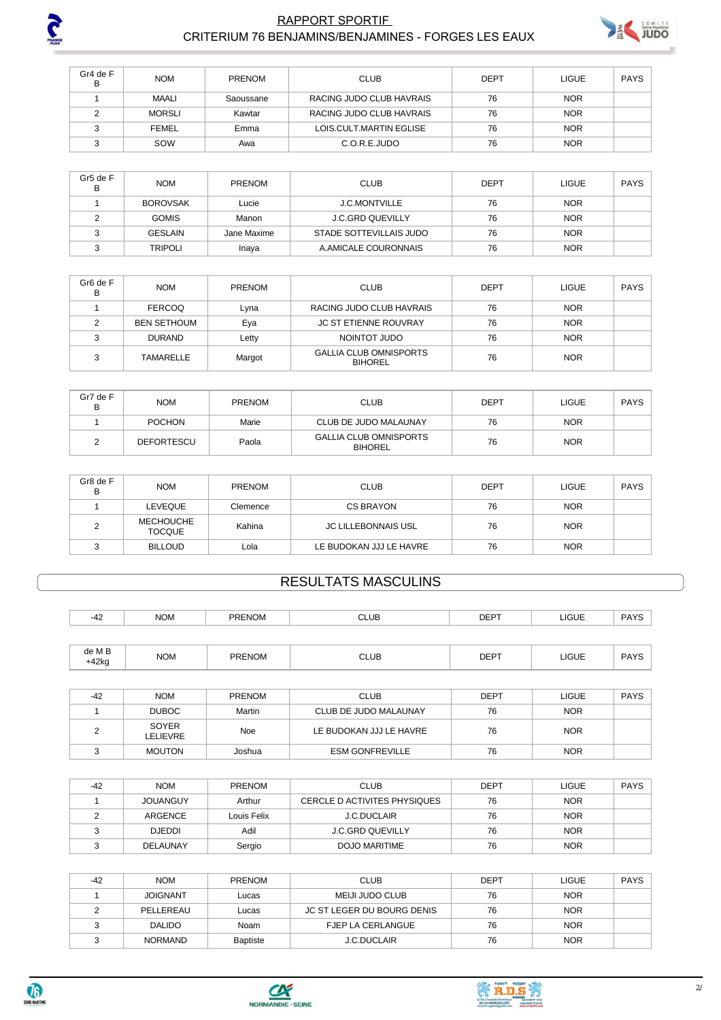

 $+42kg$ 

SEINE-MARITIME

### **RAPPORT SPORTIF** CRITERIUM 76 BENJAMINS/BENJAMINES - FORGES LES EAUX



| Gr4 de F<br>в | <b>NOM</b>    | <b>PRENOM</b> | <b>CLUB</b>              | <b>DEPT</b> | <b>LIGUE</b> | <b>PAYS</b> |
|---------------|---------------|---------------|--------------------------|-------------|--------------|-------------|
|               | MAALI         | Saoussane     | RACING JUDO CLUB HAVRAIS | 76          | <b>NOR</b>   |             |
|               | <b>MORSLI</b> | Kawtar        | RACING JUDO CLUB HAVRAIS | 76          | <b>NOR</b>   |             |
|               | <b>FEMEL</b>  | Emma          | LOIS.CULT.MARTIN EGLISE  | 76          | <b>NOR</b>   |             |
|               | SOW           | Awa           | C.O.R.E.JUDO             | 76          | <b>NOR</b>   |             |

| Gr5 de F<br>в | <b>NOM</b>      | PRENOM      | <b>CLUB</b>             | DEPT | <b>LIGUE</b> | <b>PAYS</b> |
|---------------|-----------------|-------------|-------------------------|------|--------------|-------------|
|               | <b>BOROVSAK</b> | Lucie       | <b>J.C.MONTVILLE</b>    | 76   | <b>NOR</b>   |             |
|               | <b>GOMIS</b>    | Manon       | <b>J.C.GRD QUEVILLY</b> | 76   | <b>NOR</b>   |             |
|               | <b>GESLAIN</b>  | Jane Maxime | STADE SOTTEVILLAIS JUDO | 76   | <b>NOR</b>   |             |
|               | <b>TRIPOLI</b>  | Inaya       | A.AMICALE COURONNAIS    | 76   | <b>NOR</b>   |             |

| Gr <sub>6</sub> de F<br>в | <b>NOM</b>         | <b>PRENOM</b> | <b>CLUB</b>                                     | <b>DEPT</b> | <b>LIGUE</b> | PAYS |
|---------------------------|--------------------|---------------|-------------------------------------------------|-------------|--------------|------|
|                           | <b>FERCOQ</b>      | Lvna          | RACING JUDO CLUB HAVRAIS                        | 76          | <b>NOR</b>   |      |
|                           | <b>BEN SETHOUM</b> | Eya           | <b>JC ST ETIENNE ROUVRAY</b>                    | 76          | <b>NOR</b>   |      |
|                           | <b>DURAND</b>      | Letty         | NOINTOT JUDO                                    | 76          | <b>NOR</b>   |      |
|                           | <b>TAMARELLE</b>   | Margot        | <b>GALLIA CLUB OMNISPORTS</b><br><b>BIHOREL</b> | 76          | <b>NOR</b>   |      |

| Gr7 de F<br>в | <b>NOM</b>        | <b>PRENOM</b> | CLUB                                            | DEPT | <b>LIGUE</b> | PAYS |
|---------------|-------------------|---------------|-------------------------------------------------|------|--------------|------|
|               | <b>POCHON</b>     | Marie         | CLUB DE JUDO MALAUNAY                           | 76   | <b>NOR</b>   |      |
|               | <b>DEFORTESCU</b> | Paola         | <b>GALLIA CLUB OMNISPORTS</b><br><b>BIHOREL</b> | 76   | <b>NOR</b>   |      |

| Gr8 de F<br>в | <b>NOM</b>                        | <b>PRENOM</b> | <b>CLUB</b>                | <b>DEPT</b> | <b>LIGUE</b> | <b>PAYS</b> |
|---------------|-----------------------------------|---------------|----------------------------|-------------|--------------|-------------|
|               | LEVEQUE                           | Clemence      | CS BRAYON                  | 76          | <b>NOR</b>   |             |
|               | <b>MECHOUCHE</b><br><b>TOCQUE</b> | Kahina        | <b>JC LILLEBONNAIS USL</b> | 76          | <b>NOR</b>   |             |
|               | <b>BILLOUD</b>                    | Lola          | LE BUDOKAN JJJ LE HAVRE    | 76          | <b>NOR</b>   |             |

# **RESULTATS MASCULINS**

| $-42$          | <b>NOM</b> | <b>PRENOM</b> | <b>CLUB</b> | <b>DEPT</b> | LIGUE        | <b>PAYS</b> |
|----------------|------------|---------------|-------------|-------------|--------------|-------------|
|                |            |               |             |             |              |             |
| de M B<br>142k | <b>NOM</b> | <b>PRENOM</b> | CLUB        | <b>DEPT</b> | <b>LIGUE</b> | PAYS        |

| $-42$ | <b>NOM</b>        | <b>PRENOM</b> | <b>CLUB</b>             | DEPT | LIGUE      | PAYS |
|-------|-------------------|---------------|-------------------------|------|------------|------|
|       | <b>DUBOC</b>      | Martin        | CLUB DE JUDO MALAUNAY   | 76   | <b>NOR</b> |      |
|       | SOYER<br>LELIEVRE | Noe           | LE BUDOKAN JJJ LE HAVRE | 76   | <b>NOR</b> |      |
|       | <b>MOUTON</b>     | Joshua        | <b>ESM GONFREVILLE</b>  | 76   | <b>NOR</b> |      |

| $-42$ | <b>NOM</b>      | <b>PRENOM</b> | <b>CLUB</b>                  | <b>DEPT</b> | <b>LIGUE</b> | PAYS |
|-------|-----------------|---------------|------------------------------|-------------|--------------|------|
|       | <b>JOUANGUY</b> | Arthur        | CERCLE D ACTIVITES PHYSIQUES | 76          | <b>NOR</b>   |      |
|       | ARGENCE         | Louis Felix   | <b>J.C.DUCLAIR</b>           | 76          | <b>NOR</b>   |      |
|       | <b>DJEDDI</b>   | Adil          | <b>J.C.GRD QUEVILLY</b>      | 76          | <b>NOR</b>   |      |
|       | <b>DELAUNAY</b> | Sergio        | DOJO MARITIME                | 76          | <b>NOR</b>   |      |

| -42 | <b>NOM</b>      | <b>PRENOM</b>   | <b>CLUB</b>                | <b>DEPT</b> | <b>LIGUE</b> | PAYS |
|-----|-----------------|-----------------|----------------------------|-------------|--------------|------|
|     | <b>JOIGNANT</b> | Lucas           | MEIJI JUDO CLUB            | 76          | <b>NOR</b>   |      |
|     | PELLEREAU       | Lucas           | JC ST LEGER DU BOURG DENIS | 76          | <b>NOR</b>   |      |
|     | <b>DALIDO</b>   | Noam            | FJEP LA CERLANGUE          | 76          | <b>NOR</b>   |      |
|     | <b>NORMAND</b>  | <b>Baptiste</b> | <b>J.C.DUCLAIR</b>         | 76          | <b>NOR</b>   |      |



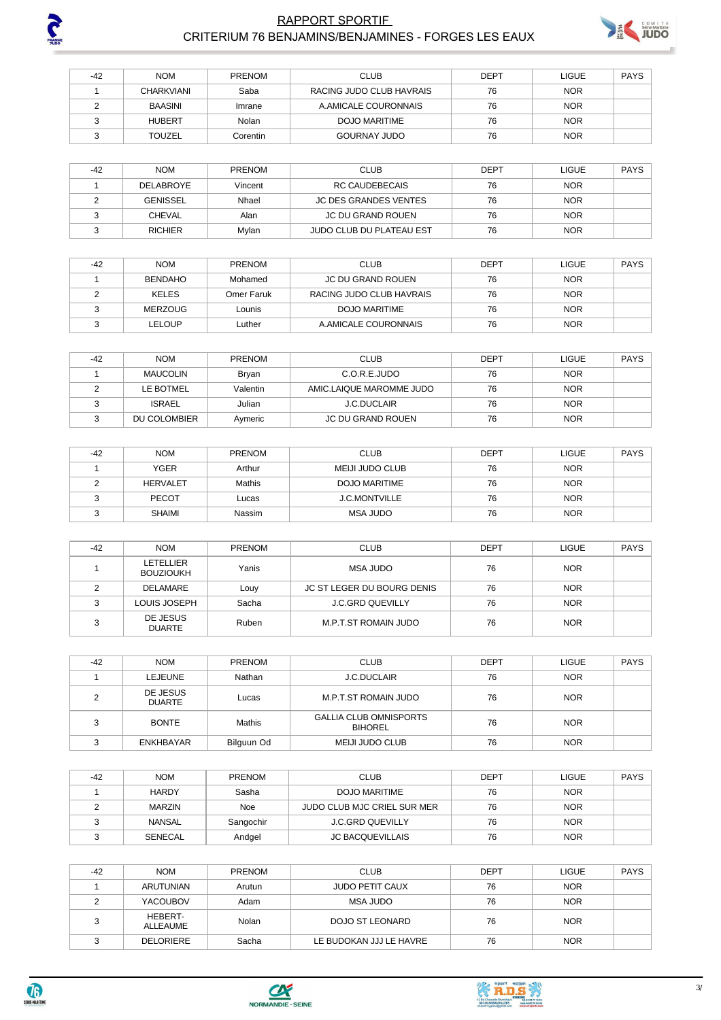

## **RAPPORT SPORTIF** CRITERIUM 76 BENJAMINS/BENJAMINES - FORGES LES EAUX



| $-42$ | <b>NOM</b>        | <b>PRENOM</b> | <b>CLUB</b>              | <b>DEPT</b> | <b>LIGUE</b> | PAYS |
|-------|-------------------|---------------|--------------------------|-------------|--------------|------|
|       | <b>CHARKVIANI</b> | Saba          | RACING JUDO CLUB HAVRAIS | 76          | <b>NOR</b>   |      |
|       | BAASINI           | Imrane        | A AMICALE COURONNAIS     | 76          | <b>NOR</b>   |      |
|       | <b>HUBERT</b>     | Nolan         | DOJO MARITIME            | 76          | <b>NOR</b>   |      |
|       | <b>TOUZEL</b>     | Corentin      | <b>GOURNAY JUDO</b>      | 76          | <b>NOR</b>   |      |

| $-42$ | <b>NOM</b>       | <b>PRENOM</b> | <b>CLUB</b>                  | DEPT | <b>LIGUE</b> | PAYS |
|-------|------------------|---------------|------------------------------|------|--------------|------|
|       | <b>DELABROYE</b> | Vincent       | RC CAUDEBECAIS               | 76   | <b>NOR</b>   |      |
|       | GENISSEL         | Nhael         | <b>JC DES GRANDES VENTES</b> | 76   | <b>NOR</b>   |      |
|       | <b>CHEVAL</b>    | Alan          | JC DU GRAND ROUEN            | 76   | <b>NOR</b>   |      |
|       | <b>RICHIER</b>   | Mylan         | JUDO CLUB DU PLATEAU EST     | 76   | <b>NOR</b>   |      |

| $-42$ | <b>NOM</b>     | <b>PRENOM</b> | <b>CLUB</b>              | DEPT | LIGUE      | PAYS |
|-------|----------------|---------------|--------------------------|------|------------|------|
|       | <b>BENDAHO</b> | Mohamed       | JC DU GRAND ROUEN        | 76   | <b>NOR</b> |      |
|       | <b>KELES</b>   | Omer Faruk i  | RACING JUDO CLUB HAVRAIS | 76   | <b>NOR</b> |      |
|       | MERZOUG        | Lounis        | DOJO MARITIME            | 76   | <b>NOR</b> |      |
|       | LELOUP         | Luther        | A AMICALE COURONNAIS     | 76   | <b>NOR</b> |      |

| $-42$ | <b>NOM</b>    | <b>PRENOM</b> | <b>CLUB</b>              | DEPT | <b>LIGUE</b> | PAYS |
|-------|---------------|---------------|--------------------------|------|--------------|------|
|       | MAUCOLIN      | Brvan         | C.O.R.E.JUDO             | 76   | <b>NOR</b>   |      |
|       | LE BOTMEL     | Valentin      | AMIC.LAIQUE MAROMME JUDO | 76   | <b>NOR</b>   |      |
|       | <b>ISRAEL</b> | Julian        | <b>J.C.DUCLAIR</b>       | 76   | <b>NOR</b>   |      |
|       | DU COLOMBIER  | Aymeric       | JC DU GRAND ROUEN        | 76   | <b>NOR</b>   |      |

| $-42$ | <b>NOM</b>      | <b>PRENOM</b> | <b>CLUB</b>          | DEPT | <b>LIGUE</b> | PAYS |
|-------|-----------------|---------------|----------------------|------|--------------|------|
|       | <b>YGER</b>     | Arthur        | MEIJI JUDO CLUB      | 76   | <b>NOR</b>   |      |
|       | <b>HERVALET</b> | Mathis        | DOJO MARITIME        | 76   | <b>NOR</b>   |      |
|       | <b>PECOT</b>    | Lucas         | <b>J.C.MONTVILLE</b> | 76   | <b>NOR</b>   |      |
|       | <b>SHAIMI</b>   | Nassim        | MSA JUDO             | 76   | <b>NOR</b>   |      |

| $-42$ | <b>NOM</b>                    | PRENOM | <b>CLUB</b>                | <b>DEPT</b> | <b>LIGUE</b> | <b>PAYS</b> |
|-------|-------------------------------|--------|----------------------------|-------------|--------------|-------------|
|       | LETELLIER<br><b>BOUZIOUKH</b> | Yanis  | MSA JUDO                   | 76          | <b>NOR</b>   |             |
|       | <b>DELAMARE</b>               | Louy   | JC ST LEGER DU BOURG DENIS | 76          | <b>NOR</b>   |             |
| ົ     | LOUIS JOSEPH                  | Sacha  | <b>J.C.GRD QUEVILLY</b>    | 76          | <b>NOR</b>   |             |
| ົ     | DE JESUS<br><b>DUARTE</b>     | Ruben  | M.P.T.ST ROMAIN JUDO       | 76          | <b>NOR</b>   |             |

| $-42$ | <b>NOM</b>                | PRENOM     | <b>CLUB</b>                                     | <b>DEPT</b> | <b>LIGUE</b> | <b>PAYS</b> |
|-------|---------------------------|------------|-------------------------------------------------|-------------|--------------|-------------|
|       | LEJEUNE                   | Nathan     | <b>J.C.DUCLAIR</b>                              | 76          | <b>NOR</b>   |             |
|       | DE JESUS<br><b>DUARTE</b> | Lucas      | M.P.T.ST ROMAIN JUDO                            | 76          | <b>NOR</b>   |             |
| ◠     | <b>BONTE</b>              | Mathis     | <b>GALLIA CLUB OMNISPORTS</b><br><b>BIHOREL</b> | 76          | <b>NOR</b>   |             |
|       | <b>ENKHBAYAR</b>          | Bilguun Od | MEIJI JUDO CLUB                                 | 76          | <b>NOR</b>   |             |

| $-42$ | <b>NOM</b>    | <b>PRENOM</b> | <b>CLUB</b>                 | DEPT | LIGUE      | PAYS |
|-------|---------------|---------------|-----------------------------|------|------------|------|
|       | <b>HARDY</b>  | Sasha         | DOJO MARITIME               | 76   | <b>NOR</b> |      |
|       | <b>MARZIN</b> | Noe           | JUDO CLUB MJC CRIEL SUR MER | 76   | <b>NOR</b> |      |
|       | NANSAL        | Sangochir     | J.C.GRD QUEVILLY            | 76   | <b>NOR</b> |      |
|       | SENECAL       | Andael        | <b>JC BACQUEVILLAIS</b>     | 76   | <b>NOR</b> |      |

| $-42$ | <b>NOM</b>          | <b>PRENOM</b> | <b>CLUB</b>             | <b>DEPT</b> | <b>LIGUE</b> | PAYS |
|-------|---------------------|---------------|-------------------------|-------------|--------------|------|
|       | ARUTUNIAN           | Arutun        | <b>JUDO PETIT CAUX</b>  | 76          | <b>NOR</b>   |      |
|       | <b>YACOUBOV</b>     | Adam          | MSA JUDO                | 76          | <b>NOR</b>   |      |
|       | HEBERT-<br>ALLEAUME | Nolan         | DOJO ST LEONARD         | 76          | <b>NOR</b>   |      |
|       | <b>DELORIERE</b>    | Sacha         | LE BUDOKAN JJJ LE HAVRE | 76          | <b>NOR</b>   |      |





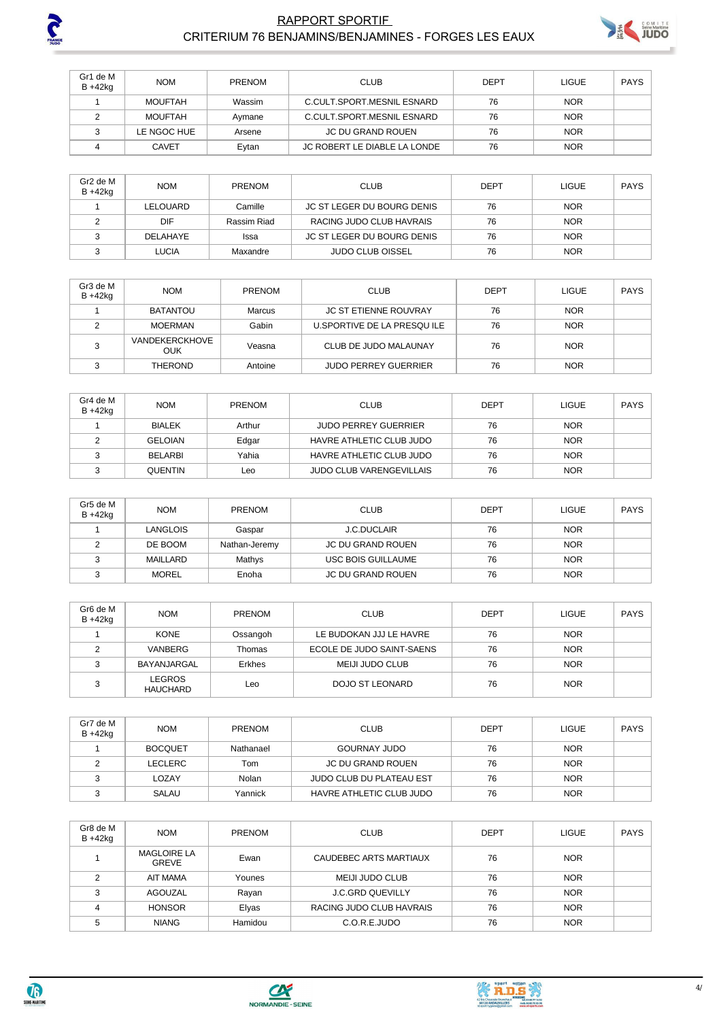

### **RAPPORT SPORTIF** CRITERIUM 76 BENJAMINS/BENJAMINES - FORGES LES EAUX



| Gr1 de M<br>B +42kg | <b>NOM</b>     | <b>PRENOM</b> | <b>CLUB</b>                  | DEPT | <b>LIGUE</b> | <b>PAYS</b> |
|---------------------|----------------|---------------|------------------------------|------|--------------|-------------|
|                     | <b>MOUFTAH</b> | Wassim        | C.CULT.SPORT.MESNIL ESNARD   | 76   | <b>NOR</b>   |             |
|                     | <b>MOUFTAH</b> | Avmane        | C.CULT.SPORT.MESNIL ESNARD   | 76   | <b>NOR</b>   |             |
|                     | LE NGOC HUE    | Arsene        | JC DU GRAND ROUEN            | 76   | <b>NOR</b>   |             |
|                     | <b>CAVET</b>   | Eytan         | JC ROBERT LE DIABLE LA LONDE | 76   | <b>NOR</b>   |             |

| Gr2 de M<br>B +42kg | <b>NOM</b>   | <b>PRENOM</b> | <b>CLUB</b>                | <b>DEPT</b> | <b>LIGUE</b> | PAYS |
|---------------------|--------------|---------------|----------------------------|-------------|--------------|------|
|                     | LELOUARD     | Camille       | JC ST LEGER DU BOURG DENIS | 76          | <b>NOR</b>   |      |
|                     | DIF          | Rassim Riad   | RACING JUDO CLUB HAVRAIS   | 76          | <b>NOR</b>   |      |
|                     | DELAHAYE     | Issa          | JC ST LEGER DU BOURG DENIS | 76          | <b>NOR</b>   |      |
|                     | <b>LUCIA</b> | Maxandre      | <b>JUDO CLUB OISSEL</b>    | 76          | <b>NOR</b>   |      |

| Gr3 de M<br>$B + 42kq$ | <b>NOM</b>                   | <b>PRENOM</b> | <b>CLUB</b>                  | DEPT | LIGUE      | <b>PAYS</b> |
|------------------------|------------------------------|---------------|------------------------------|------|------------|-------------|
|                        | <b>BATANTOU</b>              | Marcus        | <b>JC ST ETIENNE ROUVRAY</b> | 76   | <b>NOR</b> |             |
|                        | MOERMAN                      | Gabin         | U.SPORTIVE DE LA PRESQUILE   | 76   | <b>NOR</b> |             |
|                        | <b>VANDEKERCKHOVE</b><br>OUK | Veasna        | CLUB DE JUDO MALAUNAY        | 76   | <b>NOR</b> |             |
|                        | <b>THEROND</b>               | Antoine       | <b>JUDO PERREY GUERRIER</b>  | 76   | <b>NOR</b> |             |

| Gr4 de M<br>$B + 42kq$ | <b>NOM</b>     | <b>PRENOM</b> | <b>CLUB</b>                     | <b>DEPT</b> | LIGUE      | PAYS |
|------------------------|----------------|---------------|---------------------------------|-------------|------------|------|
|                        | <b>BIALEK</b>  | Arthur        | <b>JUDO PERREY GUERRIER</b>     | 76          | <b>NOR</b> |      |
|                        | <b>GELOIAN</b> | Edgar         | HAVRE ATHLETIC CLUB JUDO        | 76          | <b>NOR</b> |      |
|                        | <b>BELARBI</b> | Yahia         | HAVRE ATHLETIC CLUB JUDO        | 76          | <b>NOR</b> |      |
|                        | <b>QUENTIN</b> | Leo           | <b>JUDO CLUB VARENGEVILLAIS</b> | 76          | <b>NOR</b> |      |

| Gr5 de M<br>$B + 42kq$ | <b>NOM</b>      | <b>PRENOM</b> | <b>CLUB</b>              | <b>DEPT</b> | <b>LIGUE</b> | <b>PAYS</b> |
|------------------------|-----------------|---------------|--------------------------|-------------|--------------|-------------|
|                        | <b>LANGLOIS</b> | Gaspar        | <b>J.C.DUCLAIR</b>       | 76          | <b>NOR</b>   |             |
|                        | DE BOOM         | Nathan-Jeremy | <b>JC DU GRAND ROUEN</b> | 76          | <b>NOR</b>   |             |
|                        | MAILLARD        | Mathys        | USC BOIS GUILLAUME       | 76          | <b>NOR</b>   |             |
|                        | <b>MOREL</b>    | Enoha         | <b>JC DU GRAND ROUEN</b> | 76          | <b>NOR</b>   |             |

| Gr6 de M<br>$B + 42kq$ | <b>NOM</b>                | <b>PRENOM</b> | <b>CLUB</b>               | DEPT | <b>LIGUE</b> | <b>PAYS</b> |
|------------------------|---------------------------|---------------|---------------------------|------|--------------|-------------|
|                        | <b>KONE</b>               | Ossangoh      | LE BUDOKAN JJJ LE HAVRE   | 76   | <b>NOR</b>   |             |
|                        | VANBERG                   | Thomas        | ECOLE DE JUDO SAINT-SAENS | 76   | <b>NOR</b>   |             |
|                        | BAYANJARGAL               | Erkhes        | MEIJI JUDO CLUB           | 76   | <b>NOR</b>   |             |
| っ                      | LEGROS<br><b>HAUCHARD</b> | Leo           | <b>DOJO ST LEONARD</b>    | 76   | <b>NOR</b>   |             |

| Gr7 de M<br>$B + 42kq$ | <b>NOM</b>     | <b>PRENOM</b> | <b>CLUB</b>              | <b>DEPT</b> | <b>LIGUE</b> | PAYS |
|------------------------|----------------|---------------|--------------------------|-------------|--------------|------|
|                        | <b>BOCQUET</b> | Nathanael     | <b>GOURNAY JUDO</b>      | 76          | <b>NOR</b>   |      |
|                        | LECLERC        | Tom           | JC DU GRAND ROUEN        | 76          | <b>NOR</b>   |      |
|                        | LOZAY          | Nolan         | JUDO CLUB DU PLATEAU EST | 76          | <b>NOR</b>   |      |
|                        | SALAU          | Yannick       | HAVRE ATHLETIC CLUB JUDO | 76          | <b>NOR</b>   |      |

| Gr8 de M<br>$B + 42kg$ | <b>NOM</b>                         | <b>PRENOM</b> | <b>CLUB</b>              | <b>DEPT</b> | <b>LIGUE</b> | <b>PAYS</b> |
|------------------------|------------------------------------|---------------|--------------------------|-------------|--------------|-------------|
|                        | <b>MAGLOIRE LA</b><br><b>GREVE</b> | Ewan          | CAUDEBEC ARTS MARTIAUX   | 76          | <b>NOR</b>   |             |
| ⌒                      | <b>AIT MAMA</b>                    | Younes        | <b>MEIJI JUDO CLUB</b>   | 76          | <b>NOR</b>   |             |
| ◠                      | AGOUZAL                            | Rayan         | <b>J.C.GRD QUEVILLY</b>  | 76          | <b>NOR</b>   |             |
|                        | <b>HONSOR</b>                      | Elyas         | RACING JUDO CLUB HAVRAIS | 76          | <b>NOR</b>   |             |
| 5                      | <b>NIANG</b>                       | Hamidou       | C.O.R.E.JUDO             | 76          | <b>NOR</b>   |             |